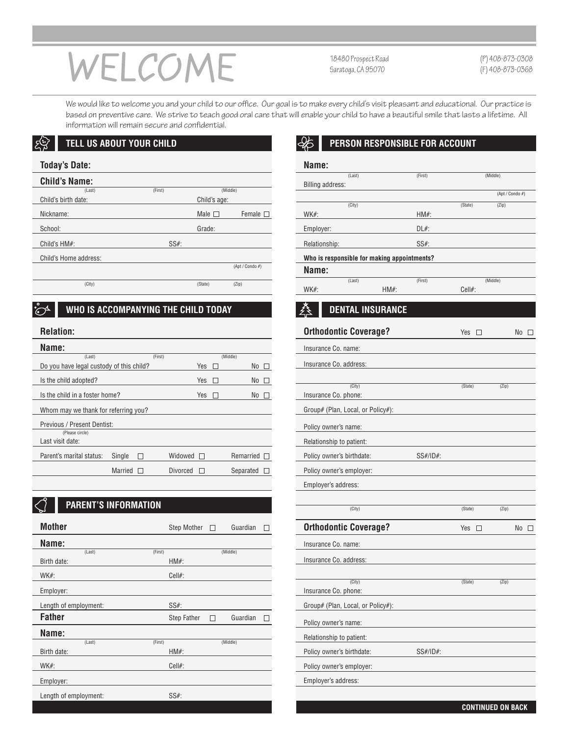# WELCOME

18480 Prospect Road Saratoga, CA 95070

(P) 408-873-0308 (F) 408-873-0368

We would like to welcome you and your child to our office. Our goal is to make every child's visit pleasant and educational. Our practice is based on preventive care. We strive to teach good oral care that will enable your child to have a beautiful smile that lasts a lifetime. All information will remain secure and confidential.

#### ्रिस्रै **TELL US ABOUT YOUR CHILD**

# **Today's Date:**

| <b>Child's Name:</b>  |         |              |                  |
|-----------------------|---------|--------------|------------------|
| (Last)                | (First) |              | (Middle)         |
| Child's birth date:   |         | Child's age: |                  |
| Nickname:             |         | Male $\Box$  | Female $\square$ |
| School:               |         | Grade:       |                  |
| Child's $HM#$ :       | $SS#$ : |              |                  |
| Child's Home address: |         |              |                  |
|                       |         |              | (Apt / Condo #)  |
| (City)                |         | (State)      | (Zip)            |

#### **WHO IS ACCOMPANYING THE CHILD TODAY**  $\mathcal{O}^4$

# **Relation:**

| neiauvii.                                |                |         |                 |              |           |           |  |
|------------------------------------------|----------------|---------|-----------------|--------------|-----------|-----------|--|
| Name:                                    |                |         |                 |              |           |           |  |
| (Last)                                   |                | (First) |                 |              | (Middle)  |           |  |
| Do you have legal custody of this child? |                |         |                 | Yes          |           | No $\Box$ |  |
| Is the child adopted?                    |                |         |                 | Yes          |           | No Γ      |  |
| Is the child in a foster home?           |                |         |                 | <b>Yes</b>   |           | No.       |  |
| Whom may we thank for referring you?     |                |         |                 |              |           |           |  |
| Previous / Present Dentist:              |                |         |                 |              |           |           |  |
| (Please circle)                          |                |         |                 |              |           |           |  |
| Last visit date:                         |                |         |                 |              |           |           |  |
| Parent's marital status:                 | Single         |         | Widowed         | $\mathbf{1}$ | Remarried |           |  |
|                                          | <b>Married</b> |         | <b>Divorced</b> |              | Separated |           |  |
|                                          |                |         |                 |              |           |           |  |

# **PARENT'S INFORMATION**

| <b>Mother</b>         |         | Step Mother $\square$ |   | Guardian |  |
|-----------------------|---------|-----------------------|---|----------|--|
| Name:                 |         |                       |   |          |  |
| (Last)                | (First) |                       |   | (Middle) |  |
| Birth date:           |         | $HM#$ :               |   |          |  |
| $WK#$ :               |         | $Cell#$ :             |   |          |  |
| Employer:             |         |                       |   |          |  |
| Length of employment: |         | $SS#$ :               |   |          |  |
|                       |         |                       |   |          |  |
| <b>Father</b>         |         | Step Father           | П | Guardian |  |
| Name:                 |         |                       |   |          |  |
| (Last)                | (First) |                       |   | (Middle) |  |
| Birth date:           |         | $HM#$ :               |   |          |  |
| $WK#$ :               |         | $Cell#$ :             |   |          |  |
| Employer:             |         |                       |   |          |  |
| Length of employment: |         | $SS#$ :               |   |          |  |

## $\mathcal{E}$ **PERSON RESPONSIBLE FOR ACCOUNT**

| Name:                   |                                             |         |           |                 |
|-------------------------|---------------------------------------------|---------|-----------|-----------------|
|                         | (Last)                                      | (First) |           | (Middle)        |
| <b>Billing address:</b> |                                             |         |           |                 |
|                         |                                             |         |           | (Apt / Condo #) |
|                         | (City)                                      |         | (State)   | (Zip)           |
| $WK#$ :                 |                                             | $HM#$ : |           |                 |
| Employer:               |                                             | $DL#$ : |           |                 |
| Relationship:           |                                             | $SS#$ : |           |                 |
|                         | Who is responsible for making appointments? |         |           |                 |
| Name:                   |                                             |         |           |                 |
|                         | (Last)                                      | (First) |           | (Middle)        |
| WK#:                    | $HM#$ :                                     |         | $Cell#$ : |                 |

## **DENTAL INSURANCE** 叁

|                                          | <b>Orthodontic Coverage?</b>      |          | Yes<br>$\Box$ |       | $No$ $\Box$ |
|------------------------------------------|-----------------------------------|----------|---------------|-------|-------------|
|                                          | Insurance Co. name:               |          |               |       |             |
| (Middle)<br>No<br>Yes<br>г<br>$\Box$     | Insurance Co. address:            |          |               |       |             |
| Yes<br>No<br>Г                           |                                   |          |               |       |             |
| Yes<br>N <sub>o</sub><br>П               | (City)<br>Insurance Co. phone:    |          | (State)       | (Zip) |             |
|                                          | Group# (Plan, Local, or Policy#): |          |               |       |             |
|                                          |                                   |          |               |       |             |
|                                          | Policy owner's name:              |          |               |       |             |
|                                          | Relationship to patient:          |          |               |       |             |
| Widowed $\square$<br>Remarried $\square$ | Policy owner's birthdate:         | SS#/ID#: |               |       |             |
| <b>Divorced</b><br>Separated<br>$\Box$   | Policy owner's employer:          |          |               |       |             |
|                                          | Employer's address:               |          |               |       |             |
|                                          |                                   |          |               |       |             |
|                                          | (City)                            |          | (State)       | (Zip) |             |
| <b>Step Mother</b><br>Guardian<br>П      | <b>Orthodontic Coverage?</b>      |          | Yes $\Box$    |       | $No$ $\Box$ |
|                                          | Insurance Co. name:               |          |               |       |             |
| (Middle)<br>$HM#$ :                      | Insurance Co. address:            |          |               |       |             |
| Cell#:                                   |                                   |          |               |       |             |
|                                          | (City)<br>Insurance Co. phone:    |          | (State)       | (Zip) |             |
| SS#:                                     |                                   |          |               |       |             |
|                                          |                                   |          |               |       |             |
|                                          | Group# (Plan, Local, or Policy#): |          |               |       |             |
| Step Father<br>Guardian<br>П             | Policy owner's name:              |          |               |       |             |
|                                          | Relationship to patient:          |          |               |       |             |
| (Middle)<br>$HM#$ :                      | Policy owner's birthdate:         | SS#/ID#: |               |       |             |
| Cell#:                                   | Policy owner's employer:          |          |               |       |             |
|                                          | Employer's address:               |          |               |       |             |